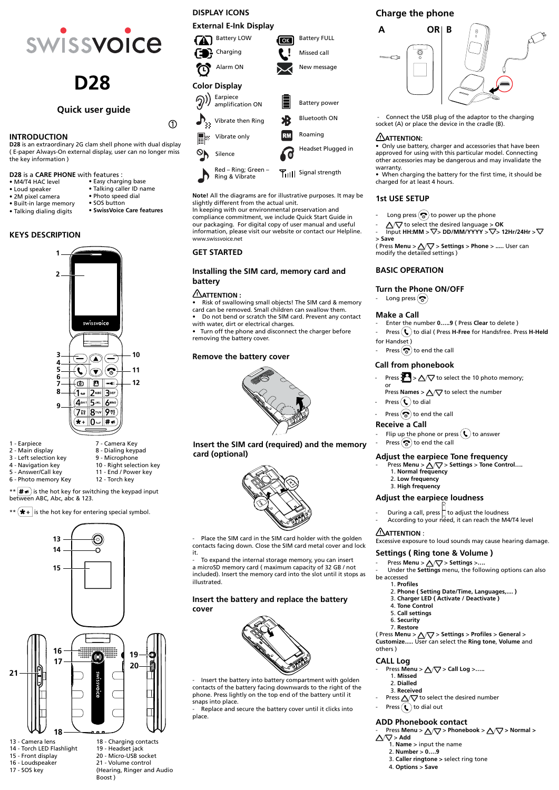#### **Quick user guide**

#### **GET STARTED**

## **Installing the SIM card, memory card and**

#### **ATTENTION :**

# **battery**

• Risk of swallowing small objects! The SIM card & memory card can be removed. Small children can swallow them.

• Do not bend or scratch the SIM card. Prevent any contact with water, dirt or electrical charges.

• Turn off the phone and disconnect the charger before removing the battery cover.

#### **Remove the battery cover**



#### **INTRODUCTION**

**D28** is an extraordinary 2G clam shell phone with dual display ( E-paper Always-On external display, user can no longer miss the key information )

#### **D28** is a **CARE PHONE** with features : • Easy charging base

- M4/T4 HAC level
- Loud speaker
- 2M pixel camera • Photo speed dial • SOS button
- Built-in large memory
- Talking dialing digits



## **D28**

• Talking caller ID name

 $\odot$ 

• **SwissVoice Care features**

#### **KEYS DESCRIPTION**



- 1 Earpiece
- 2 Main display
- 3 Left selection key
- 4 Navigation key
- 5 Answer/Call key
- 6 Photo memory Key
- 10 Right selection key 11 - End / Power key 12 - Torch key

8 - Dialing keypad 9 - Microphone

- $\mathbf{f} \cdot \mathbf{f}$   $\neq$   $\mathbf{f}$  is the hot key for switching the keypad input between ABC, Abc, abc & 123.
- \*\*  $\left(\bigstar\right)$  is the hot key for entering special symbol.



#### **DISPLAY ICONS**

**External E-Ink Display**

- Long press  $\left(\bigotimes\right)$  to power up the phone
- $\Delta \nabla$  to select the desired language > OK
- Input HH:MM >  $\nabla$  > DD/MM/YYYY >  $\nabla$  > 12Hr/24Hr >  $\nabla$ > **Save**

 $($  Press **Menu** >  $\triangle\sqrt{\nabla}$  > **Settings** > **Phone** > ..... User can modify the detailed settings )

- Enter the number **0…..9** ( Press **Clear** to delete )
- Press  $(\ell)$  to dial ( Press **H-Free** for Handsfree. Press **H-Held** for Handset )
- Press  $\left(\bigotimes\right)$  to end the call



Press  $\frac{1}{2}$  >  $\Delta \nabla$  to select the 10 photo memory; or

Press **Names** >  $\Delta \nabla$  to select the number

- Press  $(\mathbf{\mathbf{t}})$  to dial
- Press  $\left(\bigotimes\limits_{i=1}^{\infty}\right)$  to end the call

**Note!** All the diagrams are for illustrative purposes. It may be slightly different from the actual unit.

Place the SIM card in the SIM card holder with the golden contacts facing down. Close the SIM card metal cover and lock it.

To expand the internal storage memory, you can insert a microSD memory card ( maximum capacity of 32 GB / not included). Insert the memory card into the slot until it stops as illustrated.

In keeping with our environmental preservation and compliance commitment, we include Quick Start Guide in our packaging. For digital copy of user manual and useful information, please visit our website or contact our Helpline. www.swissvoice.net

Insert the battery into battery compartment with golden contacts of the battery facing downwards to the right of the phone. Press lightly on the top end of the battery until it snaps into place.

#### **Charge the phone**

Replace and secure the battery cover until it clicks into place.

 - Connect the USB plug of the adaptor to the charging socket (A) or place the device in the cradle (B).

#### ATTENTION:

- Press Menu > △▽ > Settings > Tone Control....
	- 1. **Normal frequency**
	- 2. **Low frequency**
	- 3. **High frequency**

• Only use battery, charger and accessories that have been approved for using with this particular model. Connecting other accessories may be dangerous and may invalidate the warranty.

- $\text{Press } \text{Menu} > \triangle \nabla > \text{Setting} > \dots$
- Under the **Settings** menu, the following options can also be accessed

• When charging the battery for the first time, it should be charged for at least 4 hours.

#### **1st USE SETUP**

#### **BASIC OPERATION**

#### **Turn the Phone ON/OFF**

- Long press  $\left(\bigodot$ 

#### **Make a Call**



**Insert the SIM card (required) and the memory card (optional)**

#### **Call from phonebook**

#### **Receive a Call**

- Flip up the phone or press  $(\bullet)$  to answer
- Press  $\left(\bigotimes\limits_{i=1}^{\infty}\right)$  to end the call

**Insert the battery and replace the battery cover**



#### **Adjust the earpiece Tone frequency**

#### **Adjust the earpiece loudness**

- During a call, press  $\Box$  to adjust the loudness
- According to your need, it can reach the M4/T4 level



#### **ATTENTION** :

Excessive exposure to loud sounds may cause hearing damage.

#### **Settings ( Ring tone & Volume )**

#### 1. **Profiles**

- 2. **Phone ( Setting Date/Time, Languages,.... )**
- 



3. **Charger LED ( Activate / Deactivate )**

- 4. **Tone Control**
- 5. **Call settings**
- 6. **Security**
- 7. **Restore**

( Press **Menu** > > **Settings** > **Profiles** > **General** > **Customize.....** User can select the **Ring tone**, **Volume** and others )

13 - Camera lens 14 - Torch LED Flashlight 15 - Front display

16 - Loudspeaker

17 - SOS key

18 - Charging contacts 19 - Headset jack 20 - Micro-USB socket 21 - Volume control (Hearing, Ringer and Audio Boost )

#### **CALL Log**

- **Press Menu > △√**▽ > Call Log >.....
	- 1. **Missed**
	- 2. **Dialled**
	- 3. **Received**
- Press  $\Delta \nabla$  to select the desired number Press  $\left(\bullet\right)$  to dial out

#### **ADD Phonebook contact**

 $Press$  Menu >  $\Delta \nabla$  > Phonebook >  $\Delta \nabla$  > Normal >  $\triangle \triangledown$  > Add

- 1. **Name** > input the name
- 2. **Number** > **0….9**
- 3. **Caller ringtone >** select ring tone
- 4. **Options** > **Save**